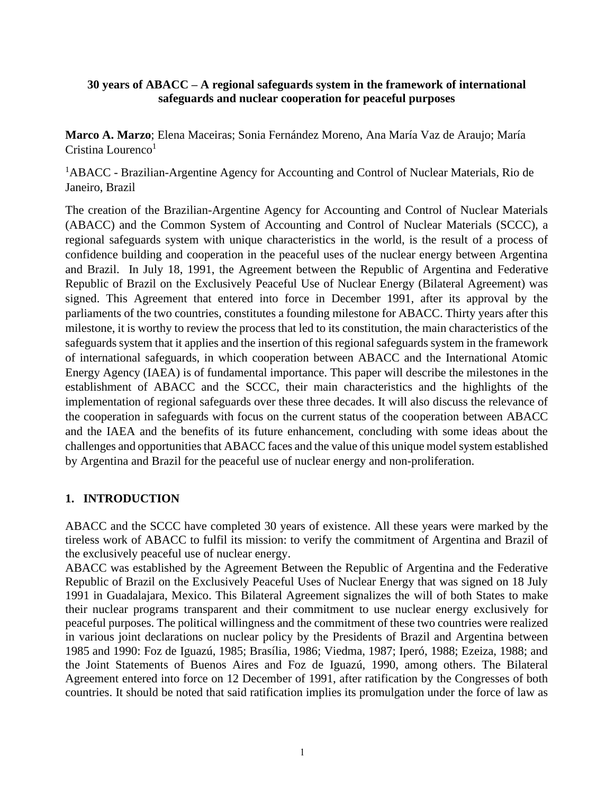### **30 years of ABACC – A regional safeguards system in the framework of international safeguards and nuclear cooperation for peaceful purposes**

**Marco A. Marzo**; Elena Maceiras; Sonia Fernández Moreno, Ana María Vaz de Araujo; María Cristina Lourenco $1$ 

<sup>1</sup>ABACC - Brazilian-Argentine Agency for Accounting and Control of Nuclear Materials, Rio de Janeiro, Brazil

The creation of the Brazilian-Argentine Agency for Accounting and Control of Nuclear Materials (ABACC) and the Common System of Accounting and Control of Nuclear Materials (SCCC), a regional safeguards system with unique characteristics in the world, is the result of a process of confidence building and cooperation in the peaceful uses of the nuclear energy between Argentina and Brazil. In July 18, 1991, the Agreement between the Republic of Argentina and Federative Republic of Brazil on the Exclusively Peaceful Use of Nuclear Energy (Bilateral Agreement) was signed. This Agreement that entered into force in December 1991, after its approval by the parliaments of the two countries, constitutes a founding milestone for ABACC. Thirty years after this milestone, it is worthy to review the process that led to its constitution, the main characteristics of the safeguards system that it applies and the insertion of this regional safeguards system in the framework of international safeguards, in which cooperation between ABACC and the International Atomic Energy Agency (IAEA) is of fundamental importance. This paper will describe the milestones in the establishment of ABACC and the SCCC, their main characteristics and the highlights of the implementation of regional safeguards over these three decades. It will also discuss the relevance of the cooperation in safeguards with focus on the current status of the cooperation between ABACC and the IAEA and the benefits of its future enhancement, concluding with some ideas about the challenges and opportunities that ABACC faces and the value of this unique model system established by Argentina and Brazil for the peaceful use of nuclear energy and non-proliferation.

# **1. INTRODUCTION**

ABACC and the SCCC have completed 30 years of existence. All these years were marked by the tireless work of ABACC to fulfil its mission: to verify the commitment of Argentina and Brazil of the exclusively peaceful use of nuclear energy.

ABACC was established by the Agreement Between the Republic of Argentina and the Federative Republic of Brazil on the Exclusively Peaceful Uses of Nuclear Energy that was signed on 18 July 1991 in Guadalajara, Mexico. This Bilateral Agreement signalizes the will of both States to make their nuclear programs transparent and their commitment to use nuclear energy exclusively for peaceful purposes. The political willingness and the commitment of these two countries were realized in various joint declarations on nuclear policy by the Presidents of Brazil and Argentina between 1985 and 1990: Foz de Iguazú, 1985; Brasília, 1986; Viedma, 1987; Iperó, 1988; Ezeiza, 1988; and the Joint Statements of Buenos Aires and Foz de Iguazú, 1990, among others. The Bilateral Agreement entered into force on 12 December of 1991, after ratification by the Congresses of both countries. It should be noted that said ratification implies its promulgation under the force of law as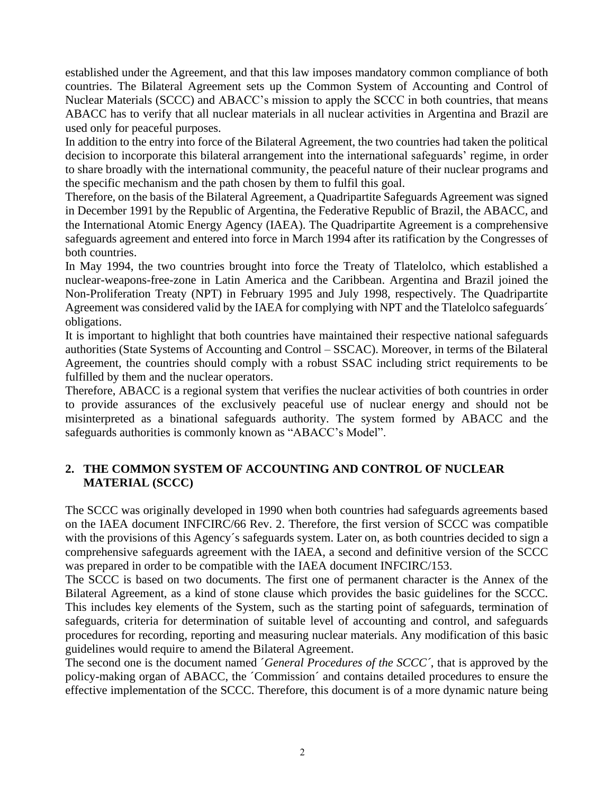established under the Agreement, and that this law imposes mandatory common compliance of both countries. The Bilateral Agreement sets up the Common System of Accounting and Control of Nuclear Materials (SCCC) and ABACC's mission to apply the SCCC in both countries, that means ABACC has to verify that all nuclear materials in all nuclear activities in Argentina and Brazil are used only for peaceful purposes.

In addition to the entry into force of the Bilateral Agreement, the two countries had taken the political decision to incorporate this bilateral arrangement into the international safeguards' regime, in order to share broadly with the international community, the peaceful nature of their nuclear programs and the specific mechanism and the path chosen by them to fulfil this goal.

Therefore, on the basis of the Bilateral Agreement, a Quadripartite Safeguards Agreement was signed in December 1991 by the Republic of Argentina, the Federative Republic of Brazil, the ABACC, and the International Atomic Energy Agency (IAEA). The Quadripartite Agreement is a comprehensive safeguards agreement and entered into force in March 1994 after its ratification by the Congresses of both countries.

In May 1994, the two countries brought into force the Treaty of Tlatelolco, which established a nuclear-weapons-free-zone in Latin America and the Caribbean. Argentina and Brazil joined the Non-Proliferation Treaty (NPT) in February 1995 and July 1998, respectively. The Quadripartite Agreement was considered valid by the IAEA for complying with NPT and the Tlatelolco safeguards´ obligations.

It is important to highlight that both countries have maintained their respective national safeguards authorities (State Systems of Accounting and Control – SSCAC). Moreover, in terms of the Bilateral Agreement, the countries should comply with a robust SSAC including strict requirements to be fulfilled by them and the nuclear operators.

Therefore, ABACC is a regional system that verifies the nuclear activities of both countries in order to provide assurances of the exclusively peaceful use of nuclear energy and should not be misinterpreted as a binational safeguards authority. The system formed by ABACC and the safeguards authorities is commonly known as "ABACC's Model".

## **2. THE COMMON SYSTEM OF ACCOUNTING AND CONTROL OF NUCLEAR MATERIAL (SCCC)**

The SCCC was originally developed in 1990 when both countries had safeguards agreements based on the IAEA document INFCIRC/66 Rev. 2. Therefore, the first version of SCCC was compatible with the provisions of this Agency´s safeguards system. Later on, as both countries decided to sign a comprehensive safeguards agreement with the IAEA, a second and definitive version of the SCCC was prepared in order to be compatible with the IAEA document INFCIRC/153.

The SCCC is based on two documents. The first one of permanent character is the Annex of the Bilateral Agreement, as a kind of stone clause which provides the basic guidelines for the SCCC. This includes key elements of the System, such as the starting point of safeguards, termination of safeguards, criteria for determination of suitable level of accounting and control, and safeguards procedures for recording, reporting and measuring nuclear materials. Any modification of this basic guidelines would require to amend the Bilateral Agreement.

The second one is the document named ´*General Procedures of the SCCC´*, that is approved by the policy-making organ of ABACC, the ´Commission´ and contains detailed procedures to ensure the effective implementation of the SCCC. Therefore, this document is of a more dynamic nature being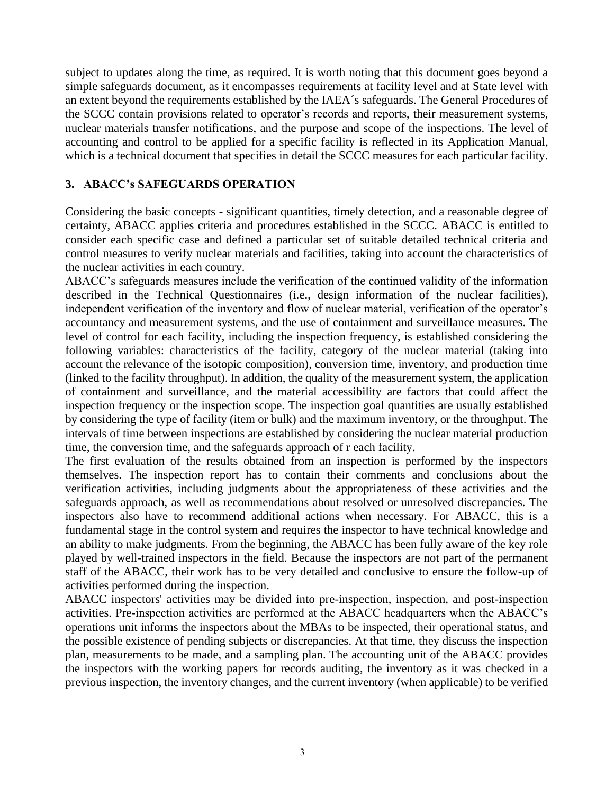subject to updates along the time, as required. It is worth noting that this document goes beyond a simple safeguards document, as it encompasses requirements at facility level and at State level with an extent beyond the requirements established by the IAEA´s safeguards. The General Procedures of the SCCC contain provisions related to operator's records and reports, their measurement systems, nuclear materials transfer notifications, and the purpose and scope of the inspections. The level of accounting and control to be applied for a specific facility is reflected in its Application Manual, which is a technical document that specifies in detail the SCCC measures for each particular facility.

## **3. ABACC's SAFEGUARDS OPERATION**

Considering the basic concepts - significant quantities, timely detection, and a reasonable degree of certainty, ABACC applies criteria and procedures established in the SCCC. ABACC is entitled to consider each specific case and defined a particular set of suitable detailed technical criteria and control measures to verify nuclear materials and facilities, taking into account the characteristics of the nuclear activities in each country.

ABACC's safeguards measures include the verification of the continued validity of the information described in the Technical Questionnaires (i.e., design information of the nuclear facilities), independent verification of the inventory and flow of nuclear material, verification of the operator's accountancy and measurement systems, and the use of containment and surveillance measures. The level of control for each facility, including the inspection frequency, is established considering the following variables: characteristics of the facility, category of the nuclear material (taking into account the relevance of the isotopic composition), conversion time, inventory, and production time (linked to the facility throughput). In addition, the quality of the measurement system, the application of containment and surveillance, and the material accessibility are factors that could affect the inspection frequency or the inspection scope. The inspection goal quantities are usually established by considering the type of facility (item or bulk) and the maximum inventory, or the throughput. The intervals of time between inspections are established by considering the nuclear material production time, the conversion time, and the safeguards approach of r each facility.

The first evaluation of the results obtained from an inspection is performed by the inspectors themselves. The inspection report has to contain their comments and conclusions about the verification activities, including judgments about the appropriateness of these activities and the safeguards approach, as well as recommendations about resolved or unresolved discrepancies. The inspectors also have to recommend additional actions when necessary. For ABACC, this is a fundamental stage in the control system and requires the inspector to have technical knowledge and an ability to make judgments. From the beginning, the ABACC has been fully aware of the key role played by well-trained inspectors in the field. Because the inspectors are not part of the permanent staff of the ABACC, their work has to be very detailed and conclusive to ensure the follow-up of activities performed during the inspection.

ABACC inspectors' activities may be divided into pre-inspection, inspection, and post-inspection activities. Pre-inspection activities are performed at the ABACC headquarters when the ABACC's operations unit informs the inspectors about the MBAs to be inspected, their operational status, and the possible existence of pending subjects or discrepancies. At that time, they discuss the inspection plan, measurements to be made, and a sampling plan. The accounting unit of the ABACC provides the inspectors with the working papers for records auditing, the inventory as it was checked in a previous inspection, the inventory changes, and the current inventory (when applicable) to be verified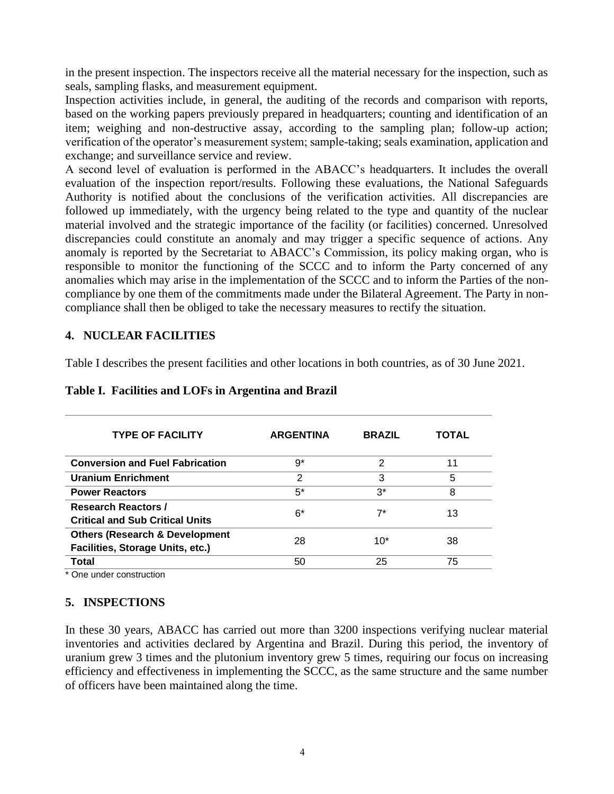in the present inspection. The inspectors receive all the material necessary for the inspection, such as seals, sampling flasks, and measurement equipment.

Inspection activities include, in general, the auditing of the records and comparison with reports, based on the working papers previously prepared in headquarters; counting and identification of an item; weighing and non-destructive assay, according to the sampling plan; follow-up action; verification of the operator's measurement system; sample-taking; seals examination, application and exchange; and surveillance service and review.

A second level of evaluation is performed in the ABACC's headquarters. It includes the overall evaluation of the inspection report/results. Following these evaluations, the National Safeguards Authority is notified about the conclusions of the verification activities. All discrepancies are followed up immediately, with the urgency being related to the type and quantity of the nuclear material involved and the strategic importance of the facility (or facilities) concerned. Unresolved discrepancies could constitute an anomaly and may trigger a specific sequence of actions. Any anomaly is reported by the Secretariat to ABACC's Commission, its policy making organ, who is responsible to monitor the functioning of the SCCC and to inform the Party concerned of any anomalies which may arise in the implementation of the SCCC and to inform the Parties of the noncompliance by one them of the commitments made under the Bilateral Agreement. The Party in noncompliance shall then be obliged to take the necessary measures to rectify the situation.

#### **4. NUCLEAR FACILITIES**

Table I describes the present facilities and other locations in both countries, as of 30 June 2021.

| <b>TYPE OF FACILITY</b>                                                       | <b>ARGENTINA</b> | <b>BRAZIL</b> | <b>TOTAL</b> |
|-------------------------------------------------------------------------------|------------------|---------------|--------------|
| <b>Conversion and Fuel Fabrication</b>                                        | 9*               | 2             | 11           |
| <b>Uranium Enrichment</b>                                                     | $\mathcal{P}$    | 3             | 5            |
| <b>Power Reactors</b>                                                         | $5^*$            | $3^*$         | 8            |
| <b>Research Reactors /</b><br><b>Critical and Sub Critical Units</b>          | $6*$             | $7^*$         | 13           |
| <b>Others (Research &amp; Development</b><br>Facilities, Storage Units, etc.) | 28               | $10*$         | 38           |
| Total                                                                         | 50               | 25            | 75           |

#### **Table I. Facilities and LOFs in Argentina and Brazil**

\* One under construction

## **5. INSPECTIONS**

In these 30 years, ABACC has carried out more than 3200 inspections verifying nuclear material inventories and activities declared by Argentina and Brazil. During this period, the inventory of uranium grew 3 times and the plutonium inventory grew 5 times, requiring our focus on increasing efficiency and effectiveness in implementing the SCCC, as the same structure and the same number of officers have been maintained along the time.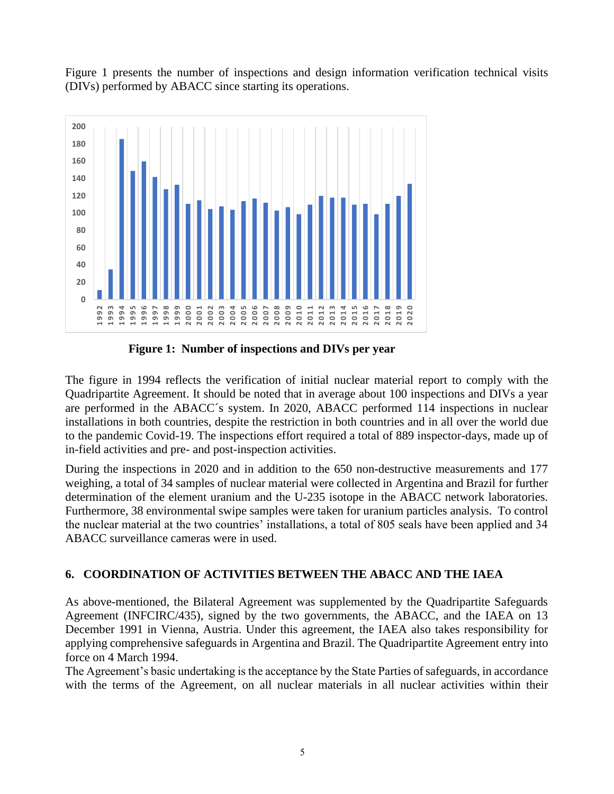Figure 1 presents the number of inspections and design information verification technical visits (DIVs) performed by ABACC since starting its operations.



**Figure 1: Number of inspections and DIVs per year**

The figure in 1994 reflects the verification of initial nuclear material report to comply with the Quadripartite Agreement. It should be noted that in average about 100 inspections and DIVs a year are performed in the ABACC´s system. In 2020, ABACC performed 114 inspections in nuclear installations in both countries, despite the restriction in both countries and in all over the world due to the pandemic Covid-19. The inspections effort required a total of 889 inspector-days, made up of in-field activities and pre- and post-inspection activities.

During the inspections in 2020 and in addition to the 650 non-destructive measurements and 177 weighing, a total of 34 samples of nuclear material were collected in Argentina and Brazil for further determination of the element uranium and the U-235 isotope in the ABACC network laboratories. Furthermore, 38 environmental swipe samples were taken for uranium particles analysis. To control the nuclear material at the two countries' installations, a total of 805 seals have been applied and 34 ABACC surveillance cameras were in used.

# **6. COORDINATION OF ACTIVITIES BETWEEN THE ABACC AND THE IAEA**

As above-mentioned, the Bilateral Agreement was supplemented by the Quadripartite Safeguards Agreement (INFCIRC/435), signed by the two governments, the ABACC, and the IAEA on 13 December 1991 in Vienna, Austria. Under this agreement, the IAEA also takes responsibility for applying comprehensive safeguards in Argentina and Brazil. The Quadripartite Agreement entry into force on 4 March 1994.

The Agreement's basic undertaking is the acceptance by the State Parties of safeguards, in accordance with the terms of the Agreement, on all nuclear materials in all nuclear activities within their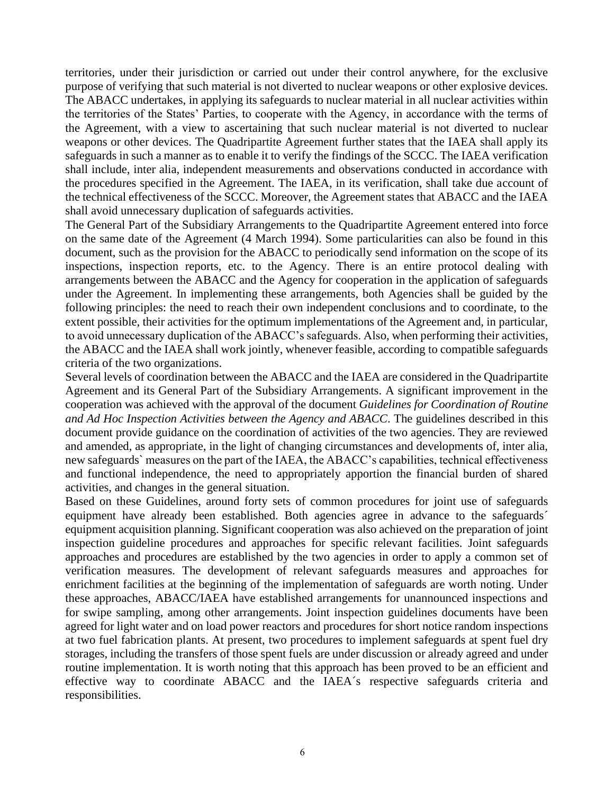territories, under their jurisdiction or carried out under their control anywhere, for the exclusive purpose of verifying that such material is not diverted to nuclear weapons or other explosive devices. The ABACC undertakes, in applying its safeguards to nuclear material in all nuclear activities within the territories of the States' Parties, to cooperate with the Agency, in accordance with the terms of the Agreement, with a view to ascertaining that such nuclear material is not diverted to nuclear weapons or other devices. The Quadripartite Agreement further states that the IAEA shall apply its safeguards in such a manner as to enable it to verify the findings of the SCCC. The IAEA verification shall include, inter alia, independent measurements and observations conducted in accordance with the procedures specified in the Agreement. The IAEA, in its verification, shall take due account of the technical effectiveness of the SCCC. Moreover, the Agreement states that ABACC and the IAEA shall avoid unnecessary duplication of safeguards activities.

The General Part of the Subsidiary Arrangements to the Quadripartite Agreement entered into force on the same date of the Agreement (4 March 1994). Some particularities can also be found in this document, such as the provision for the ABACC to periodically send information on the scope of its inspections, inspection reports, etc. to the Agency. There is an entire protocol dealing with arrangements between the ABACC and the Agency for cooperation in the application of safeguards under the Agreement. In implementing these arrangements, both Agencies shall be guided by the following principles: the need to reach their own independent conclusions and to coordinate, to the extent possible, their activities for the optimum implementations of the Agreement and, in particular, to avoid unnecessary duplication of the ABACC's safeguards. Also, when performing their activities, the ABACC and the IAEA shall work jointly, whenever feasible, according to compatible safeguards criteria of the two organizations.

Several levels of coordination between the ABACC and the IAEA are considered in the Quadripartite Agreement and its General Part of the Subsidiary Arrangements. A significant improvement in the cooperation was achieved with the approval of the document *Guidelines for Coordination of Routine and Ad Hoc Inspection Activities between the Agency and ABACC*. The guidelines described in this document provide guidance on the coordination of activities of the two agencies. They are reviewed and amended, as appropriate, in the light of changing circumstances and developments of, inter alia, new safeguards` measures on the part of the IAEA, the ABACC's capabilities, technical effectiveness and functional independence, the need to appropriately apportion the financial burden of shared activities, and changes in the general situation.

Based on these Guidelines, around forty sets of common procedures for joint use of safeguards equipment have already been established. Both agencies agree in advance to the safeguards<sup>1</sup> equipment acquisition planning. Significant cooperation was also achieved on the preparation of joint inspection guideline procedures and approaches for specific relevant facilities. Joint safeguards approaches and procedures are established by the two agencies in order to apply a common set of verification measures. The development of relevant safeguards measures and approaches for enrichment facilities at the beginning of the implementation of safeguards are worth noting. Under these approaches, ABACC/IAEA have established arrangements for unannounced inspections and for swipe sampling, among other arrangements. Joint inspection guidelines documents have been agreed for light water and on load power reactors and procedures for short notice random inspections at two fuel fabrication plants. At present, two procedures to implement safeguards at spent fuel dry storages, including the transfers of those spent fuels are under discussion or already agreed and under routine implementation. It is worth noting that this approach has been proved to be an efficient and effective way to coordinate ABACC and the IAEA´s respective safeguards criteria and responsibilities.